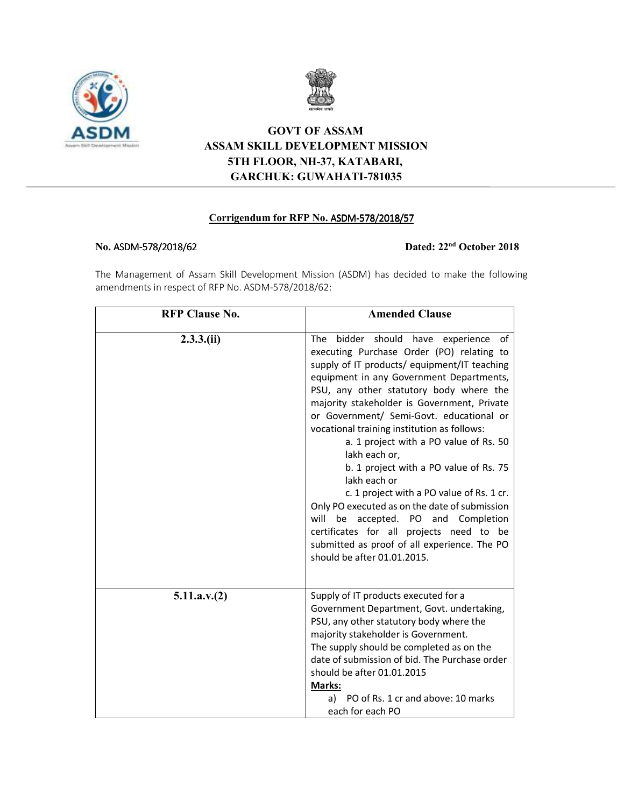



## **GOVT OF ASSAM ASSAM SKILL DEVELOPMENT MISSION 5TH FLOOR, NH-37, KATABARI, GARCHUK: GUWAHATI-781035**

## **Corrigendum for RFP No. ASDM-578/2018/57**

## **No.** ASDM-578/2018/62 578/2018/62 **Dated: 22nd October 2018**

The Management of Assam Skill Development Mission (ASDM) has decided to make the following amendments in respect of RFP No. ASDM-578/2018/62:

| <b>RFP Clause No.</b> | <b>Amended Clause</b>                                                                                                                                                                                                                                                                                                                                                                                                                                                                                                                                                                                                                                                                                                                                            |  |  |  |
|-----------------------|------------------------------------------------------------------------------------------------------------------------------------------------------------------------------------------------------------------------------------------------------------------------------------------------------------------------------------------------------------------------------------------------------------------------------------------------------------------------------------------------------------------------------------------------------------------------------------------------------------------------------------------------------------------------------------------------------------------------------------------------------------------|--|--|--|
| $2.3.3$ .(ii)         | bidder should<br>of<br>The<br>have experience<br>executing Purchase Order (PO) relating to<br>supply of IT products/ equipment/IT teaching<br>equipment in any Government Departments,<br>PSU, any other statutory body where the<br>majority stakeholder is Government, Private<br>or Government/ Semi-Govt. educational or<br>vocational training institution as follows:<br>a. 1 project with a PO value of Rs. 50<br>lakh each or,<br>b. 1 project with a PO value of Rs. 75<br>lakh each or<br>c. 1 project with a PO value of Rs. 1 cr.<br>Only PO executed as on the date of submission<br>will be accepted. PO and Completion<br>certificates for all projects need to be<br>submitted as proof of all experience. The PO<br>should be after 01.01.2015. |  |  |  |
| 5.11.a.v.(2)          | Supply of IT products executed for a<br>Government Department, Govt. undertaking,<br>PSU, any other statutory body where the<br>majority stakeholder is Government.<br>The supply should be completed as on the<br>date of submission of bid. The Purchase order<br>should be after 01.01.2015<br>Marks:<br>a) PO of Rs. 1 cr and above: 10 marks<br>each for each PO                                                                                                                                                                                                                                                                                                                                                                                            |  |  |  |